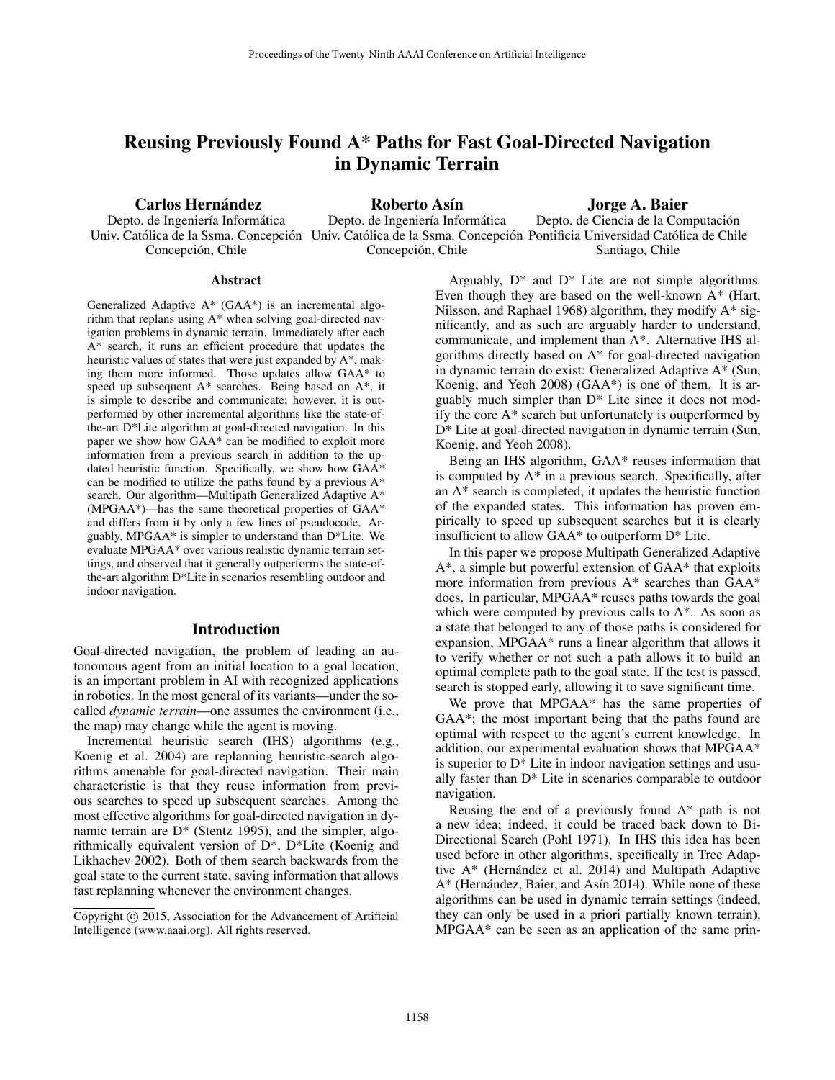# Reusing Previously Found A\* Paths for Fast Goal-Directed Navigation in Dynamic Terrain

Carlos Hernández

Depto. de Ingeniería Informática Concepción, Chile

Roberto Asín

Jorge A. Baier

Univ. Católica de la Ssma. Concepción Univ. Católica de la Ssma. Concepción Pontificia Universidad Católica de Chile Depto. de Ingeniería Informática Concepción, Chile Depto. de Ciencia de la Computación Santiago, Chile

#### Abstract

Generalized Adaptive A\* (GAA\*) is an incremental algorithm that replans using A\* when solving goal-directed navigation problems in dynamic terrain. Immediately after each A\* search, it runs an efficient procedure that updates the heuristic values of states that were just expanded by A\*, making them more informed. Those updates allow GAA\* to speed up subsequent A\* searches. Being based on A\*, it is simple to describe and communicate; however, it is outperformed by other incremental algorithms like the state-ofthe-art D\*Lite algorithm at goal-directed navigation. In this paper we show how GAA\* can be modified to exploit more information from a previous search in addition to the updated heuristic function. Specifically, we show how GAA\* can be modified to utilize the paths found by a previous A\* search. Our algorithm—Multipath Generalized Adaptive A\* (MPGAA\*)—has the same theoretical properties of GAA\* and differs from it by only a few lines of pseudocode. Arguably, MPGAA\* is simpler to understand than D\*Lite. We evaluate MPGAA\* over various realistic dynamic terrain settings, and observed that it generally outperforms the state-ofthe-art algorithm D\*Lite in scenarios resembling outdoor and indoor navigation.

#### Introduction

Goal-directed navigation, the problem of leading an autonomous agent from an initial location to a goal location, is an important problem in AI with recognized applications in robotics. In the most general of its variants—under the socalled *dynamic terrain*—one assumes the environment (i.e., the map) may change while the agent is moving.

Incremental heuristic search (IHS) algorithms (e.g., Koenig et al. 2004) are replanning heuristic-search algorithms amenable for goal-directed navigation. Their main characteristic is that they reuse information from previous searches to speed up subsequent searches. Among the most effective algorithms for goal-directed navigation in dynamic terrain are  $D^*$  (Stentz 1995), and the simpler, algorithmically equivalent version of D\*, D\*Lite (Koenig and Likhachev 2002). Both of them search backwards from the goal state to the current state, saving information that allows fast replanning whenever the environment changes.

Arguably,  $D^*$  and  $D^*$  Lite are not simple algorithms. Even though they are based on the well-known A\* (Hart, Nilsson, and Raphael 1968) algorithm, they modify A\* significantly, and as such are arguably harder to understand, communicate, and implement than A\*. Alternative IHS algorithms directly based on A\* for goal-directed navigation in dynamic terrain do exist: Generalized Adaptive A\* (Sun, Koenig, and Yeoh 2008) (GAA\*) is one of them. It is arguably much simpler than D\* Lite since it does not modify the core A\* search but unfortunately is outperformed by D\* Lite at goal-directed navigation in dynamic terrain (Sun, Koenig, and Yeoh 2008).

Being an IHS algorithm, GAA\* reuses information that is computed by A\* in a previous search. Specifically, after an A\* search is completed, it updates the heuristic function of the expanded states. This information has proven empirically to speed up subsequent searches but it is clearly insufficient to allow GAA\* to outperform D\* Lite.

In this paper we propose Multipath Generalized Adaptive A\*, a simple but powerful extension of GAA\* that exploits more information from previous A\* searches than GAA\* does. In particular, MPGAA\* reuses paths towards the goal which were computed by previous calls to  $A^*$ . As soon as a state that belonged to any of those paths is considered for expansion, MPGAA\* runs a linear algorithm that allows it to verify whether or not such a path allows it to build an optimal complete path to the goal state. If the test is passed, search is stopped early, allowing it to save significant time.

We prove that MPGAA\* has the same properties of GAA\*; the most important being that the paths found are optimal with respect to the agent's current knowledge. In addition, our experimental evaluation shows that MPGAA\* is superior to  $D^*$  Lite in indoor navigation settings and usually faster than D\* Lite in scenarios comparable to outdoor navigation.

Reusing the end of a previously found A\* path is not a new idea; indeed, it could be traced back down to Bi-Directional Search (Pohl 1971). In IHS this idea has been used before in other algorithms, specifically in Tree Adaptive  $A^*$  (Hernández et al. 2014) and Multipath Adaptive A\* (Hernández, Baier, and Asín 2014). While none of these algorithms can be used in dynamic terrain settings (indeed, they can only be used in a priori partially known terrain), MPGAA\* can be seen as an application of the same prin-

Copyright © 2015, Association for the Advancement of Artificial Intelligence (www.aaai.org). All rights reserved.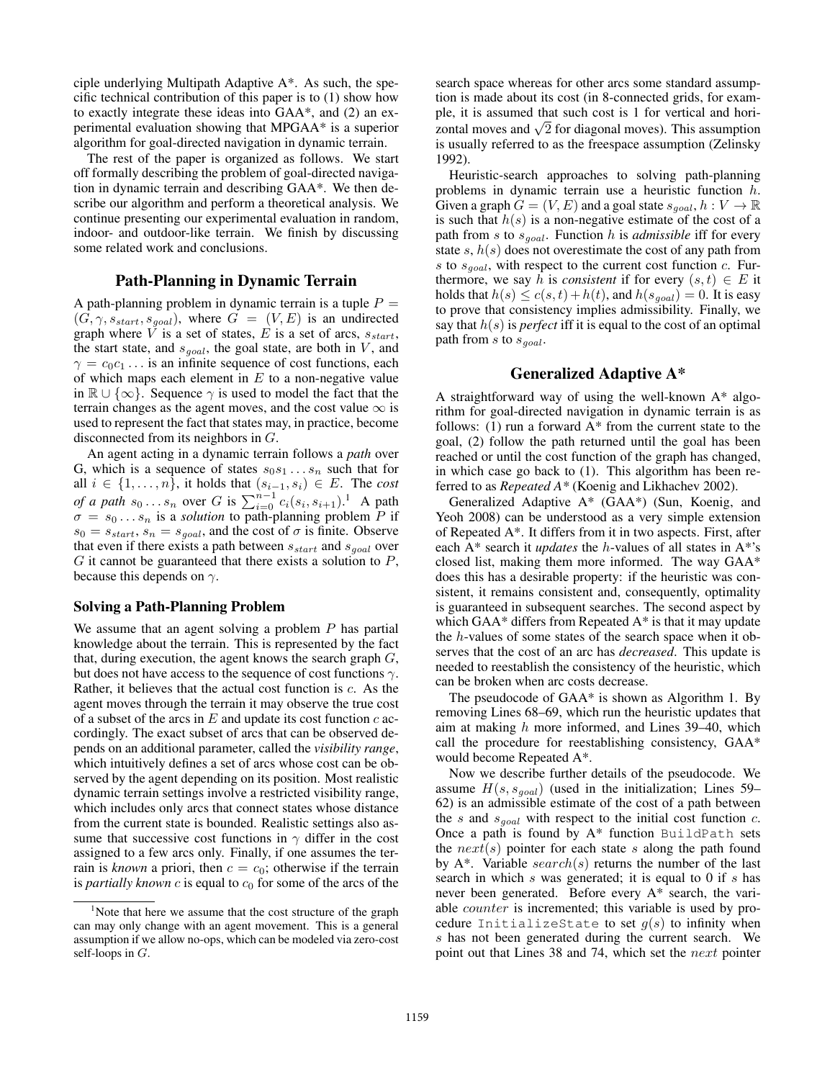ciple underlying Multipath Adaptive A\*. As such, the specific technical contribution of this paper is to (1) show how to exactly integrate these ideas into GAA\*, and (2) an experimental evaluation showing that MPGAA\* is a superior algorithm for goal-directed navigation in dynamic terrain.

The rest of the paper is organized as follows. We start off formally describing the problem of goal-directed navigation in dynamic terrain and describing GAA\*. We then describe our algorithm and perform a theoretical analysis. We continue presenting our experimental evaluation in random, indoor- and outdoor-like terrain. We finish by discussing some related work and conclusions.

# Path-Planning in Dynamic Terrain

A path-planning problem in dynamic terrain is a tuple  $P =$  $(G, \gamma, s_{start}, s_{goal})$ , where  $G = (V, E)$  is an undirected graph where V is a set of states, E is a set of arcs,  $s_{start}$ , the start state, and  $s_{goal}$ , the goal state, are both in V, and  $\gamma = c_0 c_1 \dots$  is an infinite sequence of cost functions, each of which maps each element in  $E$  to a non-negative value in  $\mathbb{R} \cup \{\infty\}$ . Sequence  $\gamma$  is used to model the fact that the terrain changes as the agent moves, and the cost value  $\infty$  is used to represent the fact that states may, in practice, become disconnected from its neighbors in G.

An agent acting in a dynamic terrain follows a *path* over G, which is a sequence of states  $s_0s_1 \ldots s_n$  such that for all  $i \in \{1, \ldots, n\}$ , it holds that  $(s_{i-1}, s_i) \in E$ . The *cost of a path*  $s_0 \dots s_n$  over G is  $\sum_{i=0}^{n-1} c_i(s_i, s_{i+1})$ .<sup>1</sup> A path  $\sigma = s_0 \dots s_n$  is a *solution* to path-planning problem P if  $s_0 = s_{start}, s_n = s_{goal}$ , and the cost of  $\sigma$  is finite. Observe that even if there exists a path between  $s_{start}$  and  $s_{goal}$  over  $G$  it cannot be guaranteed that there exists a solution to  $P$ , because this depends on  $\gamma$ .

#### Solving a Path-Planning Problem

We assume that an agent solving a problem  $P$  has partial knowledge about the terrain. This is represented by the fact that, during execution, the agent knows the search graph  $G$ , but does not have access to the sequence of cost functions  $\gamma$ . Rather, it believes that the actual cost function is  $c$ . As the agent moves through the terrain it may observe the true cost of a subset of the arcs in  $E$  and update its cost function  $c$  accordingly. The exact subset of arcs that can be observed depends on an additional parameter, called the *visibility range*, which intuitively defines a set of arcs whose cost can be observed by the agent depending on its position. Most realistic dynamic terrain settings involve a restricted visibility range, which includes only arcs that connect states whose distance from the current state is bounded. Realistic settings also assume that successive cost functions in  $\gamma$  differ in the cost assigned to a few arcs only. Finally, if one assumes the terrain is *known* a priori, then  $c = c_0$ ; otherwise if the terrain is *partially known*  $c$  is equal to  $c_0$  for some of the arcs of the

search space whereas for other arcs some standard assumption is made about its cost (in 8-connected grids, for example, it is assumed that such cost is 1 for vertical and horipie, it is assumed that such cost is 1 for vertical and nor-<br>zontal moves and  $\sqrt{2}$  for diagonal moves). This assumption is usually referred to as the freespace assumption (Zelinsky 1992).

Heuristic-search approaches to solving path-planning problems in dynamic terrain use a heuristic function h. Given a graph  $G = (V, E)$  and a goal state  $s_{goal}, h : V \to \mathbb{R}$ is such that  $h(s)$  is a non-negative estimate of the cost of a path from s to  $s_{goal}$ . Function h is *admissible* iff for every state  $s, h(s)$  does not overestimate the cost of any path from s to  $s_{goal}$ , with respect to the current cost function c. Furthermore, we say h is *consistent* if for every  $(s, t) \in E$  it holds that  $h(s) \le c(s,t) + h(t)$ , and  $h(s_{goal}) = 0$ . It is easy to prove that consistency implies admissibility. Finally, we say that  $h(s)$  is *perfect* iff it is equal to the cost of an optimal path from s to  $s_{goal}$ .

#### Generalized Adaptive A\*

A straightforward way of using the well-known A\* algorithm for goal-directed navigation in dynamic terrain is as follows: (1) run a forward  $A^*$  from the current state to the goal, (2) follow the path returned until the goal has been reached or until the cost function of the graph has changed, in which case go back to (1). This algorithm has been referred to as *Repeated A\** (Koenig and Likhachev 2002).

Generalized Adaptive A\* (GAA\*) (Sun, Koenig, and Yeoh 2008) can be understood as a very simple extension of Repeated A\*. It differs from it in two aspects. First, after each A\* search it *updates* the h-values of all states in A\*'s closed list, making them more informed. The way GAA\* does this has a desirable property: if the heuristic was consistent, it remains consistent and, consequently, optimality is guaranteed in subsequent searches. The second aspect by which  $GAA^*$  differs from Repeated  $A^*$  is that it may update the h-values of some states of the search space when it observes that the cost of an arc has *decreased*. This update is needed to reestablish the consistency of the heuristic, which can be broken when arc costs decrease.

The pseudocode of GAA\* is shown as Algorithm 1. By removing Lines 68–69, which run the heuristic updates that aim at making  $h$  more informed, and Lines 39–40, which call the procedure for reestablishing consistency, GAA\* would become Repeated A\*.

Now we describe further details of the pseudocode. We assume  $H(s, s_{goal})$  (used in the initialization; Lines 59– 62) is an admissible estimate of the cost of a path between the s and  $s_{goal}$  with respect to the initial cost function c. Once a path is found by  $A^*$  function BuildPath sets the  $next(s)$  pointer for each state s along the path found by  $A^*$ . Variable search(s) returns the number of the last search in which  $s$  was generated; it is equal to 0 if  $s$  has never been generated. Before every A\* search, the variable counter is incremented; this variable is used by procedure InitializeState to set  $g(s)$  to infinity when s has not been generated during the current search. We point out that Lines 38 and 74, which set the next pointer

<sup>&</sup>lt;sup>1</sup>Note that here we assume that the cost structure of the graph can may only change with an agent movement. This is a general assumption if we allow no-ops, which can be modeled via zero-cost self-loops in G.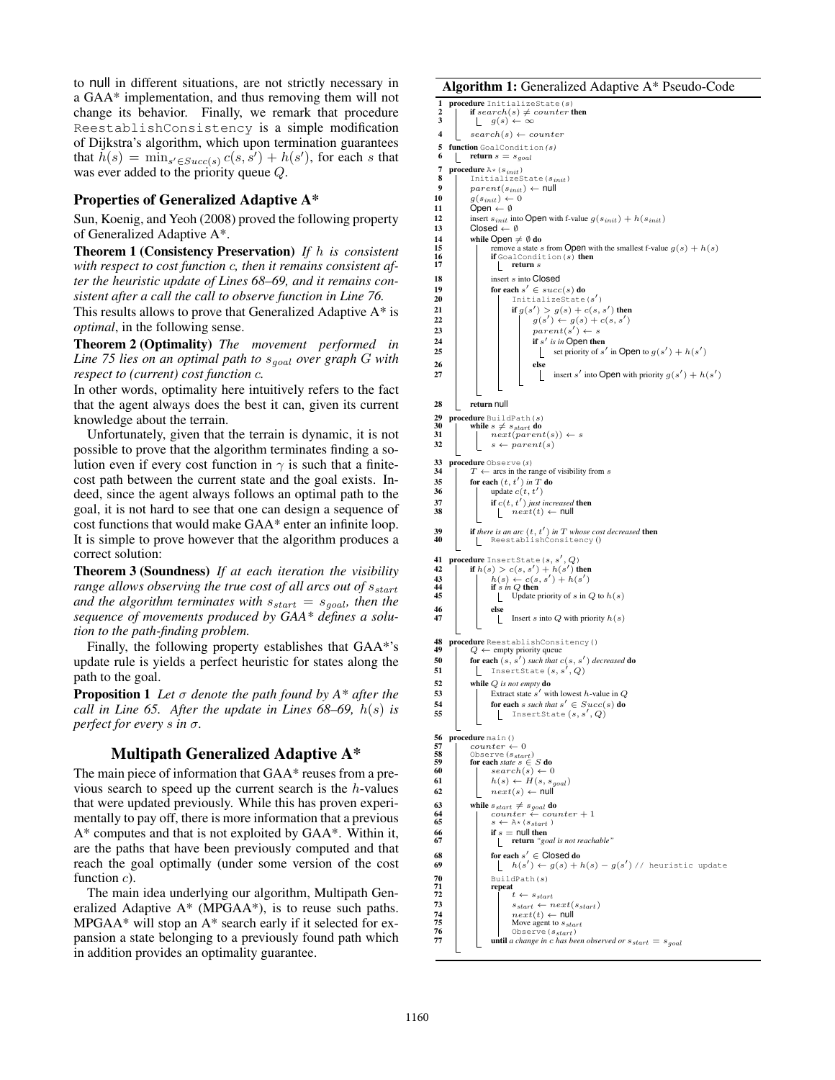to null in different situations, are not strictly necessary in a GAA\* implementation, and thus removing them will not change its behavior. Finally, we remark that procedure ReestablishConsistency is a simple modification of Dijkstra's algorithm, which upon termination guarantees that  $h(s) = \min_{s' \in Succ(s)} c(s, s') + h(s')$ , for each s that was ever added to the priority queue Q.

### Properties of Generalized Adaptive A\*

Sun, Koenig, and Yeoh (2008) proved the following property of Generalized Adaptive A\*.

Theorem 1 (Consistency Preservation) *If* h *is consistent with respect to cost function* c*, then it remains consistent after the heuristic update of Lines 68–69, and it remains consistent after a call the call to observe function in Line 76.*

This results allows to prove that Generalized Adaptive A\* is *optimal*, in the following sense.

Theorem 2 (Optimality) *The movement performed in Line 75 lies on an optimal path to*  $s_{goal}$  *over graph G with respect to (current) cost function* c*.*

In other words, optimality here intuitively refers to the fact that the agent always does the best it can, given its current knowledge about the terrain.

Unfortunately, given that the terrain is dynamic, it is not possible to prove that the algorithm terminates finding a solution even if every cost function in  $\gamma$  is such that a finitecost path between the current state and the goal exists. Indeed, since the agent always follows an optimal path to the goal, it is not hard to see that one can design a sequence of cost functions that would make GAA\* enter an infinite loop. It is simple to prove however that the algorithm produces a correct solution:

Theorem 3 (Soundness) *If at each iteration the visibility range allows observing the true cost of all arcs out of*  $s_{start}$ *and the algorithm terminates with*  $s_{start} = s_{goal}$ *, then the sequence of movements produced by GAA\* defines a solution to the path-finding problem.*

Finally, the following property establishes that GAA\*'s update rule is yields a perfect heuristic for states along the path to the goal.

Proposition 1 *Let* σ *denote the path found by A\* after the call in Line 65. After the update in Lines 68–69,* h(s) *is perfect for every* s *in* σ*.*

# Multipath Generalized Adaptive A\*

The main piece of information that GAA\* reuses from a previous search to speed up the current search is the h-values that were updated previously. While this has proven experimentally to pay off, there is more information that a previous A\* computes and that is not exploited by GAA\*. Within it, are the paths that have been previously computed and that reach the goal optimally (under some version of the cost function *c*).

The main idea underlying our algorithm, Multipath Generalized Adaptive A\* (MPGAA\*), is to reuse such paths. MPGAA\* will stop an A\* search early if it selected for expansion a state belonging to a previously found path which in addition provides an optimality guarantee.

#### Algorithm 1: Generalized Adaptive A\* Pseudo-Code

```
1 procedure InitializeState(s)<br>
2 if search(s) \neq counter then<br>
3 g(s) \leftarrow \infty\downarrow search(s) \leftarrow counter
 5 function GoalCondition (s)<br>6 f return s = sc return s = s_{goal}7 procedure A* (s_{init})<br>8 | Initializes
              TnitializeState(s_{init})
9 \begin{array}{|c|c|}\n\hline\n9 & parent(s_{init}) \leftarrow \text{null} \\
\hline\nq(s_{init}) \leftarrow 0\n\end{array}10 g(s_{init}) \leftarrow 0<br>11 Open \leftarrow \emptyset\overrightarrow{Open} \leftarrow \emptyset12 insert s_{init} into Open with f-value g(s_{init}) + h(s_{init})<br>13 Closed \leftarrow \emptysetClosed \leftarrow \emptyset14 while Open \neq \emptyset do<br>
15<br>
16 remove a state s<br>
17 return s
15 remove a state s from Open with the smallest f-value g(s) + h(s)<br>
if GoalCondition(s) then
                         \lbrack return s
18 insert s into Closed
19 for each s' \in succ(s) do
20 | | InitializeState(s')
21 if g(s') > g(s) + c(s, s') then<br>
g(s') \leftarrow g(s) + c(s, s')23 | | | parent(s') \leftarrow s24 \vert \vert if s' is in Open then
25 \vert \vert \vert set priority of s' in Open to g(s') + h(s')26 | | | | else
27 | | | insert s' into Open with priority g(s') + h(s')28 return null
29 procedure BuildPath(s)<br>30 | while s \neq s_{start} do
30 while s \neq s_{start} do<br>31 \qquad next(parent(s)) \leftarrow s32 s \leftarrow parent(s)33 procedure Observe (s)<br>34 T \leftarrow \arcsin \text{the ra}34 T ← arcs in the range of visibility from s<br>35 for each (t, t') in T do
35 for each (t, t') in T do
36 | update c(t, t')37 if c(t, t') just increased then
38 \left| \begin{array}{c} \text{if } c(t, t) \text{ just int}{t} \ -\text{if } c(t, t) \leftarrow \text{null} \\ \text{if } c(t) \leftarrow \text{null} \end{array} \right|39 if there is an arc (t, t') in T whose cost decreased then<br>40 ReestablishConsitency ()
41 procedure InsertState (s, s', Q)42 if h(s) > c(s, s') + h(s') then<br>
43 if s in Q then<br>
if s in Q then
43<br>
\begin{array}{|c|c|c|c|c|} \hline h(s) & h(s) & h(s') & h(s') \\ \hline \textbf{if } s \text{ in } Q \textbf{ then} & \textbf{if } S \textbf{ in } Q \textbf{ to } h(s) \\ \hline \end{array}\begin{array}{c|c|c|c}\n46 & & \text{else}\n\end{array}\lfloor Insert s into Q with priority h(s)48 procedure Reestablish Consitency()<br>49 \mid Q \leftarrow empty priority queue
               Q \, \leftarrow \, \text{empty priority queue}50 for each (s, s') such that c(s, s') decreased do<br>51 Insert State (s, s', Q)52 while Q is not empty do<br>53 Extract state s' wi
53 Extract state s' with lowest h-value in Q54 for each s such that s' \in Succ(s) do
55 | | InsertState (s, s', Q)56 procedure main()<br>57 | counter \leftarrow 058 Observe (s_{start})<br>59 for each state s \in S do
60 \begin{array}{|c|c|c|c|}\n\hline\n61 & h(s) \leftarrow H(s, s_{goal})\n\end{array}62 \Big| next(s) \leftarrow null63 while s_{start} \neq s_{goal} do<br>64 counter \leftarrow counter + 164 counter \leftarrow cos<br>65 s \leftarrow A*(s<sub>start</sub>)
66 if s = \text{null} then<br>67 if s = \text{null} then
                         67 return "goal is not reachable"
68 for each s' \in \text{Closed} do
69 \begin{array}{|c|c|c|c|c|} \hline \rule{0pt}{1.2ex} & h(s') \leftarrow g(s) + h(s) - g(s') \; \text{/} \; \text{heuristic update} \end{array}70<br>
71<br>
72<br>
73<br>
73<br>
\begin{array}{c} \n\text{BuildPath}(s) \\
\text{repeat} \\
t \leftarrow s_{star} \\
s_{start} \leftarrow \n\end{array}repeat
                               \tau_t \leftarrow s_{start}73<br>
74 next(t) \leftarrow null<br>
next(t) \leftarrow null<br>
75<br>
76 Observe (start)
                                next(t) \leftarrow null75 Move agent to s_{start}<br>
76 Observe (s_{start})
                       until a change in c has been observed or s_{start} = s_{goal}
```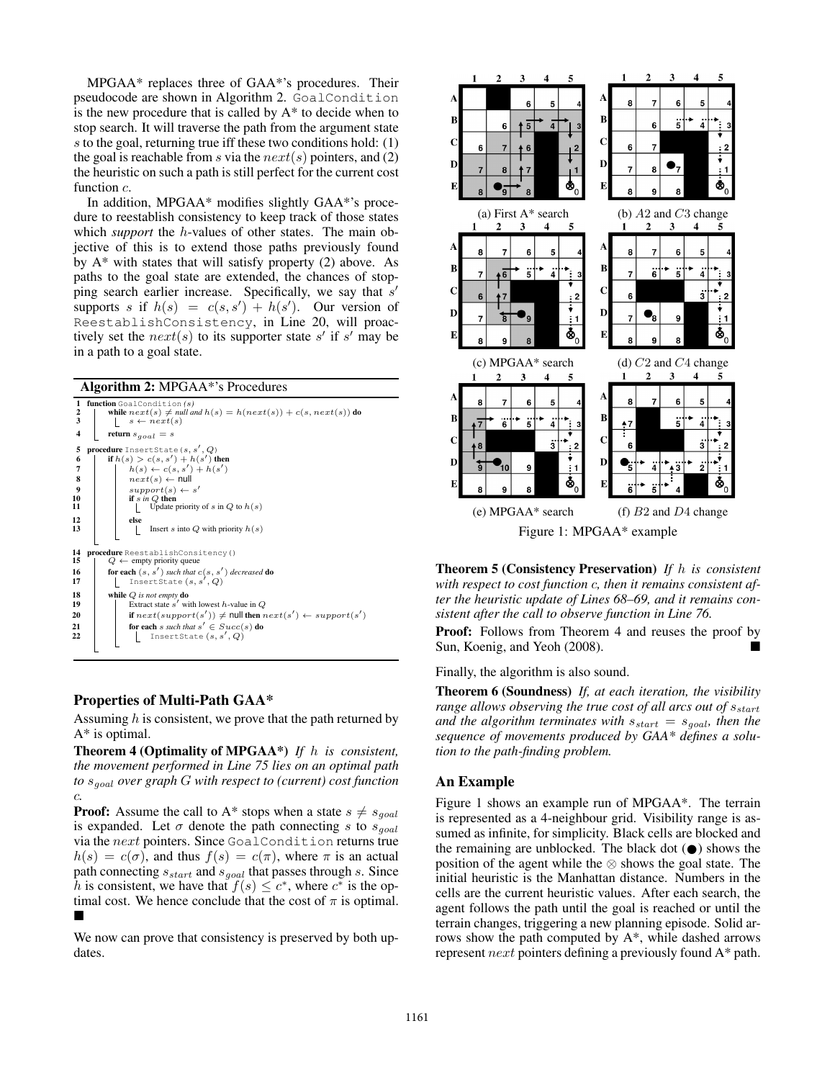MPGAA\* replaces three of GAA\*'s procedures. Their pseudocode are shown in Algorithm 2. GoalCondition is the new procedure that is called by A\* to decide when to stop search. It will traverse the path from the argument state s to the goal, returning true iff these two conditions hold: (1) the goal is reachable from s via the  $next(s)$  pointers, and (2) the heuristic on such a path is still perfect for the current cost function  $c$ .

In addition, MPGAA\* modifies slightly GAA\*'s procedure to reestablish consistency to keep track of those states which *support* the h-values of other states. The main objective of this is to extend those paths previously found by  $A^*$  with states that will satisfy property (2) above. As paths to the goal state are extended, the chances of stopping search earlier increase. Specifically, we say that  $s'$ supports s if  $h(s) = c(s, s') + h(s')$ . Our version of ReestablishConsistency, in Line 20, will proactively set the  $next(s)$  to its supporter state s' if s' may be in a path to a goal state.

Algorithm 2: MPGAA\*'s Procedures

| 1                       | function GoalCondition (s)                                              |
|-------------------------|-------------------------------------------------------------------------|
| 2                       | while $next(s) \neq null$ and $h(s) = h(next(s)) + c(s, next(s))$ do    |
| $\overline{\mathbf{3}}$ | $s \leftarrow next(s)$                                                  |
| 4                       |                                                                         |
|                         | return $s_{goal} = s$                                                   |
| 5                       | <b>procedure</b> InsertState $(s, s', Q)$                               |
| 6                       | if $h(s) > c(s, s') + h(s')$ then                                       |
| 7                       | $h(s) \leftarrow c(s, s') + h(s')$                                      |
| 8                       | $next(s) \leftarrow null$                                               |
| $\boldsymbol{9}$        | $support(s) \leftarrow s'$                                              |
| 10                      | if $s$ in $Q$ then                                                      |
| 11                      | Update priority of s in $Q$ to $h(s)$                                   |
| 12                      | else                                                                    |
| 13                      | Insert s into $Q$ with priority $h(s)$                                  |
|                         |                                                                         |
|                         |                                                                         |
| 14                      | procedure ReestablishConsitency()                                       |
| 15                      | $Q \leftarrow$ empty priority queue                                     |
| 16                      | for each $(s, s')$ such that $c(s, s')$ decreased do                    |
| 17                      | InsertState $(s, s', Q)$                                                |
| 18                      | while $Q$ is not empty do                                               |
| 19                      | Extract state $s'$ with lowest h-value in $Q$                           |
|                         |                                                                         |
| 20                      | if $next(support(s')) \neq null$ then $next(s') \leftarrow support(s')$ |
| 21                      | for each s such that $s' \in Succ(s)$ do                                |
| 22                      | InsertState $(s, s', Q)$                                                |
|                         |                                                                         |
|                         |                                                                         |

# Properties of Multi-Path GAA\*

Assuming  $h$  is consistent, we prove that the path returned by A\* is optimal.

Theorem 4 (Optimality of MPGAA\*) *If* h *is consistent, the movement performed in Line 75 lies on an optimal path to* sgoal *over graph* G *with respect to (current) cost function* c*.*

**Proof:** Assume the call to A\* stops when a state  $s \neq s_{goal}$ is expanded. Let  $\sigma$  denote the path connecting s to  $s_{goal}$ via the next pointers. Since GoalCondition returns true  $h(s) = c(\sigma)$ , and thus  $f(s) = c(\pi)$ , where  $\pi$  is an actual path connecting  $s_{start}$  and  $s_{goal}$  that passes through s. Since h is consistent, we have that  $f(s) \leq c^*$ , where  $c^*$  is the optimal cost. We hence conclude that the cost of  $\pi$  is optimal.  $\blacksquare$ 

We now can prove that consistency is preserved by both updates.



Theorem 5 (Consistency Preservation) *If* h *is consistent with respect to cost function* c*, then it remains consistent after the heuristic update of Lines 68–69, and it remains consistent after the call to observe function in Line 76.*

Proof: Follows from Theorem 4 and reuses the proof by Sun, Koenig, and Yeoh (2008).

Finally, the algorithm is also sound.

Theorem 6 (Soundness) *If, at each iteration, the visibility range allows observing the true cost of all arcs out of*  $s_{start}$ *and the algorithm terminates with*  $s_{start} = s_{goal}$ *, then the sequence of movements produced by GAA\* defines a solution to the path-finding problem.*

# An Example

Figure 1 shows an example run of MPGAA\*. The terrain is represented as a 4-neighbour grid. Visibility range is assumed as infinite, for simplicity. Black cells are blocked and the remaining are unblocked. The black dot  $(\bullet)$  shows the position of the agent while the ⊗ shows the goal state. The initial heuristic is the Manhattan distance. Numbers in the cells are the current heuristic values. After each search, the agent follows the path until the goal is reached or until the terrain changes, triggering a new planning episode. Solid arrows show the path computed by A\*, while dashed arrows represent next pointers defining a previously found A\* path.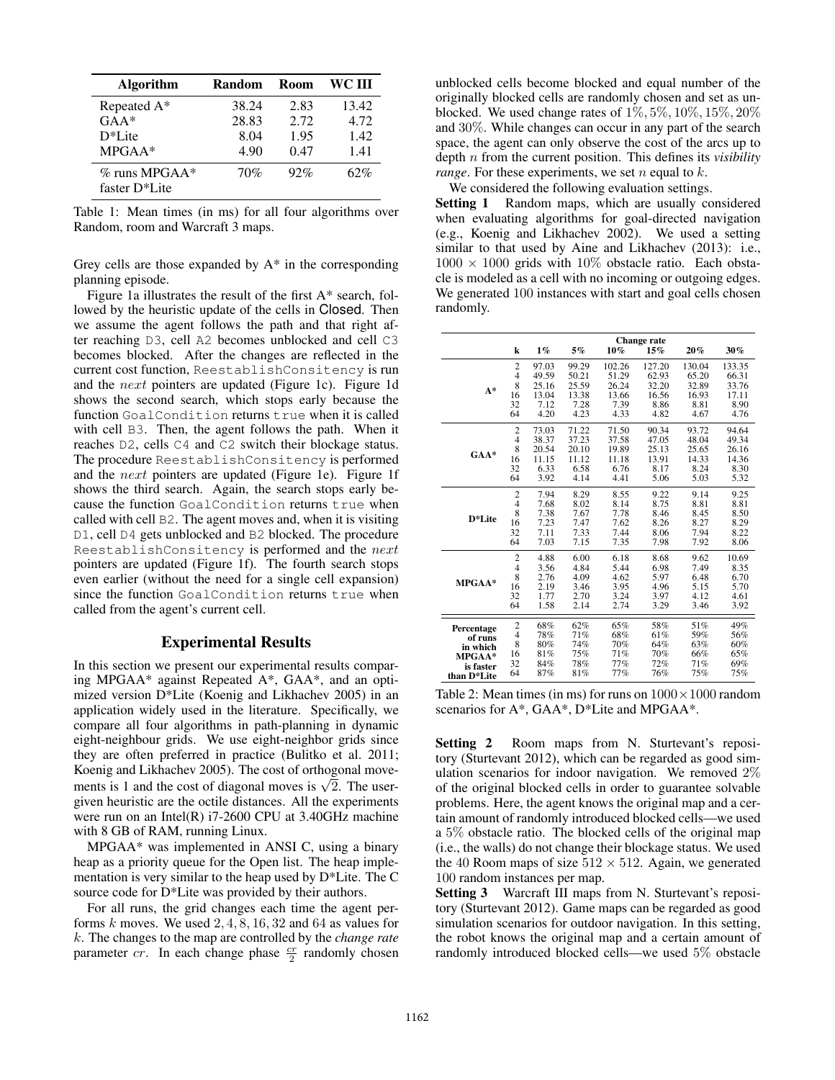| <b>Algorithm</b>                               | Random | Room | WC III |
|------------------------------------------------|--------|------|--------|
| Repeated $A^*$                                 | 38.24  | 2.83 | 13.42  |
| $GAA*$                                         | 28.83  | 2.72 | 4.72   |
| $D^*$ Lite                                     | 8.04   | 1.95 | 1.42   |
| $MPGAA*$                                       | 4.90   | 0.47 | 1.41   |
| $\%$ runs MPGAA*<br>faster D <sup>*</sup> Lite | 70%    | 92%  | 62%    |

Table 1: Mean times (in ms) for all four algorithms over Random, room and Warcraft 3 maps.

Grey cells are those expanded by  $A^*$  in the corresponding planning episode.

Figure 1a illustrates the result of the first A\* search, followed by the heuristic update of the cells in Closed. Then we assume the agent follows the path and that right after reaching D3, cell A2 becomes unblocked and cell C3 becomes blocked. After the changes are reflected in the current cost function, ReestablishConsitency is run and the next pointers are updated (Figure 1c). Figure 1d shows the second search, which stops early because the function GoalCondition returns true when it is called with cell B3. Then, the agent follows the path. When it reaches D2, cells C4 and C2 switch their blockage status. The procedure ReestablishConsitency is performed and the next pointers are updated (Figure 1e). Figure 1f shows the third search. Again, the search stops early because the function GoalCondition returns true when called with cell B2. The agent moves and, when it is visiting D1, cell D4 gets unblocked and B2 blocked. The procedure ReestablishConsitency is performed and the next pointers are updated (Figure 1f). The fourth search stops even earlier (without the need for a single cell expansion) since the function GoalCondition returns true when called from the agent's current cell.

# Experimental Results

In this section we present our experimental results comparing MPGAA\* against Repeated A\*, GAA\*, and an optimized version D\*Lite (Koenig and Likhachev 2005) in an application widely used in the literature. Specifically, we compare all four algorithms in path-planning in dynamic eight-neighbour grids. We use eight-neighbor grids since they are often preferred in practice (Bulitko et al. 2011; Koenig and Likhachev 2005). The cost of orthogonal move-**EXECUTE:** Note that the cost of diagonal moves is  $\sqrt{2}$ . The usergiven heuristic are the octile distances. All the experiments were run on an Intel(R) i7-2600 CPU at 3.40GHz machine with 8 GB of RAM, running Linux.

MPGAA\* was implemented in ANSI C, using a binary heap as a priority queue for the Open list. The heap implementation is very similar to the heap used by D\*Lite. The C source code for D\*Lite was provided by their authors.

For all runs, the grid changes each time the agent performs  $k$  moves. We used  $2, 4, 8, 16, 32$  and 64 as values for k. The changes to the map are controlled by the *change rate* parameter *cr*. In each change phase  $\frac{cr}{2}$  randomly chosen

unblocked cells become blocked and equal number of the originally blocked cells are randomly chosen and set as unblocked. We used change rates of 1%, 5%, 10%, 15%, 20% and 30%. While changes can occur in any part of the search space, the agent can only observe the cost of the arcs up to depth n from the current position. This defines its *visibility range*. For these experiments, we set  $n$  equal to  $k$ .

We considered the following evaluation settings.

Setting 1 Random maps, which are usually considered when evaluating algorithms for goal-directed navigation (e.g., Koenig and Likhachev 2002). We used a setting similar to that used by Aine and Likhachev (2013): i.e.,  $1000 \times 1000$  grids with  $10\%$  obstacle ratio. Each obstacle is modeled as a cell with no incoming or outgoing edges. We generated 100 instances with start and goal cells chosen randomly.

|                          |                                  |       | <b>Change rate</b> |        |        |        |        |  |
|--------------------------|----------------------------------|-------|--------------------|--------|--------|--------|--------|--|
|                          | $\bf k$                          | $1\%$ | 5%                 | 10%    | 15%    | 20%    | 30%    |  |
|                          | $\overline{c}$                   | 97.03 | 99.29              | 102.26 | 127.20 | 130.04 | 133.35 |  |
|                          | $\overline{4}$                   | 49.59 | 50.21              | 51.29  | 62.93  | 65.20  | 66.31  |  |
| $A^*$                    | 8                                | 25.16 | 25.59              | 26.24  | 32.20  | 32.89  | 33.76  |  |
|                          | 16                               | 13.04 | 13.38              | 13.66  | 16.56  | 16.93  | 17.11  |  |
|                          | 32                               | 7.12  | 7.28               | 7.39   | 8.86   | 8.81   | 8.90   |  |
|                          | 64                               | 4.20  | 4.23               | 4.33   | 4.82   | 4.67   | 4.76   |  |
|                          | $\overline{2}$<br>71.22<br>73.03 | 71.50 | 90.34              | 93.72  | 94.64  |        |        |  |
|                          | $\overline{4}$                   | 38.37 | 37.23              | 37.58  | 47.05  | 48.04  | 49.34  |  |
| $GAA*$                   | 8                                | 20.54 | 20.10              | 19.89  | 25.13  | 25.65  | 26.16  |  |
|                          | 16                               | 11.15 | 11.12              | 11.18  | 13.91  | 14.33  | 14.36  |  |
|                          | 32                               | 6.33  | 6.58               | 6.76   | 8.17   | 8.24   | 8.30   |  |
|                          | 64                               | 3.92  | 4.14               | 4.41   | 5.06   | 5.03   | 5.32   |  |
|                          | $\overline{c}$                   | 7.94  | 8.29               | 8.55   | 9.22   | 9.14   | 9.25   |  |
|                          | $\overline{4}$                   | 7.68  | 8.02               | 8.14   | 8.75   | 8.81   | 8.81   |  |
| D*Lite                   | 8                                | 7.38  | 7.67               | 7.78   | 8.46   | 8.45   | 8.50   |  |
|                          | 16                               | 7.23  | 7.47               | 7.62   | 8.26   | 8.27   | 8.29   |  |
|                          | 32                               | 7.11  | 7.33               | 7.44   | 8.06   | 7.94   | 8.22   |  |
|                          | 64                               | 7.03  | 7.15               | 7.35   | 7.98   | 7.92   | 8.06   |  |
|                          | $\overline{2}$                   | 4.88  | 6.00               | 6.18   | 8.68   | 9.62   | 10.69  |  |
|                          | $\overline{4}$                   | 3.56  | 4.84               | 5.44   | 6.98   | 7.49   | 8.35   |  |
| MPGAA*                   | 8                                | 2.76  | 4.09               | 4.62   | 5.97   | 6.48   | 6.70   |  |
|                          | 16                               | 2.19  | 3.46               | 3.95   | 4.96   | 5.15   | 5.70   |  |
|                          | 32                               | 1.77  | 2.70               | 3.24   | 3.97   | 4.12   | 4.61   |  |
|                          | 64                               | 1.58  | 2.14               | 2.74   | 3.29   | 3.46   | 3.92   |  |
| Percentage               |                                  | 68%   | 62%                | 65%    | 58%    | 51%    | 49%    |  |
| of runs                  | $\frac{2}{4}$                    | 78%   | 71%                | 68%    | 61%    | 59%    | 56%    |  |
| in which                 | 8                                | 80%   | 74%                | 70%    | 64%    | 63%    | 60%    |  |
| MPGAA*                   | 16                               | 81%   | 75%                | 71%    | 70%    | 66%    | 65%    |  |
| is faster                | 32                               | 84%   | 78%                | 77%    | 72%    | 71%    | 69%    |  |
| than D <sup>*</sup> Lite | 64                               | 87%   | 81%                | 77%    | 76%    | 75%    | 75%    |  |

Table 2: Mean times (in ms) for runs on  $1000 \times 1000$  random scenarios for A\*, GAA\*, D\*Lite and MPGAA\*.

Setting 2 Room maps from N. Sturtevant's repository (Sturtevant 2012), which can be regarded as good simulation scenarios for indoor navigation. We removed 2% of the original blocked cells in order to guarantee solvable problems. Here, the agent knows the original map and a certain amount of randomly introduced blocked cells—we used a 5% obstacle ratio. The blocked cells of the original map (i.e., the walls) do not change their blockage status. We used the 40 Room maps of size  $512 \times 512$ . Again, we generated 100 random instances per map.

Setting 3 Warcraft III maps from N. Sturtevant's repository (Sturtevant 2012). Game maps can be regarded as good simulation scenarios for outdoor navigation. In this setting, the robot knows the original map and a certain amount of randomly introduced blocked cells—we used 5% obstacle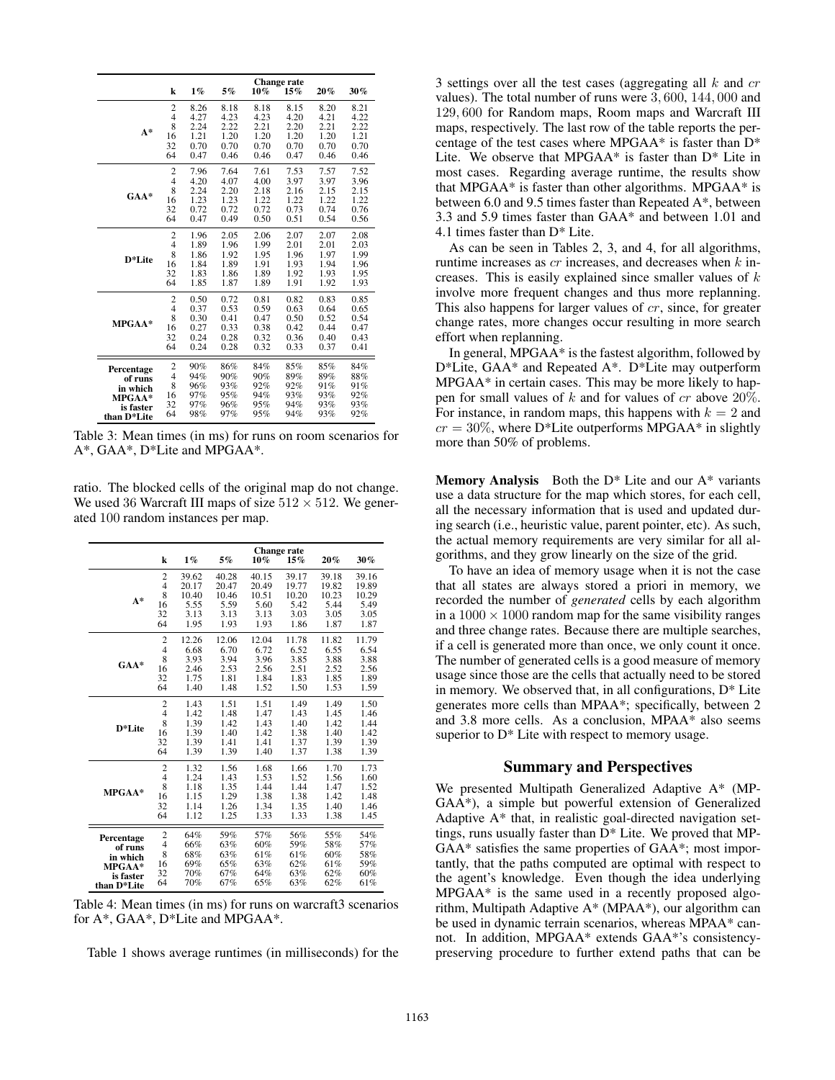|             |                         | Change rate |      |        |      |      |      |
|-------------|-------------------------|-------------|------|--------|------|------|------|
|             | k                       | $1\%$       | 5%   | $10\%$ | 15%  | 20%  | 30%  |
|             | 2                       | 8.26        | 8.18 | 8.18   | 8.15 | 8.20 | 8.21 |
|             | $\overline{4}$          | 4.27        | 4.23 | 4.23   | 4.20 | 4.21 | 4.22 |
| $A^*$       | 8                       | 2.24        | 2.22 | 2.21   | 2.20 | 2.21 | 2.22 |
|             | 16                      | 1.21        | 1.20 | 1.20   | 1.20 | 1.20 | 1.21 |
|             | 32                      | 0.70        | 0.70 | 0.70   | 0.70 | 0.70 | 0.70 |
|             | 64                      | 0.47        | 0.46 | 0.46   | 0.47 | 0.46 | 0.46 |
|             | $\overline{c}$          | 7.96        | 7.64 | 7.61   | 7.53 | 7.57 | 7.52 |
|             | $\overline{4}$          | 4.20        | 4.07 | 4.00   | 3.97 | 3.97 | 3.96 |
| $GAA*$      | 8                       | 2.24        | 2.20 | 2.18   | 2.16 | 2.15 | 2.15 |
|             | 16                      | 1.23        | 1.23 | 1.22   | 1.22 | 1.22 | 1.22 |
|             | 32                      | 0.72        | 0.72 | 0.72   | 0.73 | 0.74 | 0.76 |
|             | 64                      | 0.47        | 0.49 | 0.50   | 0.51 | 0.54 | 0.56 |
|             | $\overline{c}$          | 1.96        | 2.05 | 2.06   | 2.07 | 2.07 | 2.08 |
|             | 4                       | 1.89        | 1.96 | 1.99   | 2.01 | 2.01 | 2.03 |
| D*Lite      | 8                       | 1.86        | 1.92 | 1.95   | 1.96 | 1.97 | 1.99 |
|             | 16                      | 1.84        | 1.89 | 1.91   | 1.93 | 1.94 | 1.96 |
|             | 32                      | 1.83        | 1.86 | 1.89   | 1.92 | 1.93 | 1.95 |
|             | 64                      | 1.85        | 1.87 | 1.89   | 1.91 | 1.92 | 1.93 |
|             | $\frac{2}{4}$           | 0.50        | 0.72 | 0.81   | 0.82 | 0.83 | 0.85 |
|             |                         | 0.37        | 0.53 | 0.59   | 0.63 | 0.64 | 0.65 |
| MPGAA*      | 8                       | 0.30        | 0.41 | 0.47   | 0.50 | 0.52 | 0.54 |
|             | 16                      | 0.27        | 0.33 | 0.38   | 0.42 | 0.44 | 0.47 |
|             | 32                      | 0.24        | 0.28 | 0.32   | 0.36 | 0.40 | 0.43 |
|             | 64                      | 0.24        | 0.28 | 0.32   | 0.33 | 0.37 | 0.41 |
| Percentage  | $\overline{\mathbf{c}}$ | 90%         | 86%  | 84%    | 85%  | 85%  | 84%  |
| of runs     | $\overline{4}$          | 94%         | 90%  | 90%    | 89%  | 89%  | 88%  |
| in which    | 8                       | 96%         | 93%  | 92%    | 92%  | 91%  | 91%  |
| MPGAA*      | 16                      | 97%         | 95%  | 94%    | 93%  | 93%  | 92%  |
| is faster   | 32                      | 97%         | 96%  | 95%    | 94%  | 93%  | 93%  |
| than D*Lite | 64                      | 98%         | 97%  | 95%    | 94%  | 93%  | 92%  |
|             |                         |             |      |        |      |      |      |

Table 3: Mean times (in ms) for runs on room scenarios for A\*, GAA\*, D\*Lite and MPGAA\*.

ratio. The blocked cells of the original map do not change. We used 36 Warcraft III maps of size  $512 \times 512$ . We generated 100 random instances per map.

|                       |                         | <b>Change rate</b> |       |       |       |       |        |
|-----------------------|-------------------------|--------------------|-------|-------|-------|-------|--------|
|                       | k                       | $1\%$              | 5%    | 10%   | 15%   | 20%   | $30\%$ |
|                       | $\overline{c}$          | 39.62              | 40.28 | 40.15 | 39.17 | 39.18 | 39.16  |
|                       | $\overline{4}$          | 20.17              | 20.47 | 20.49 | 19.77 | 19.82 | 19.89  |
| $A^*$                 | 8                       | 10.40              | 10.46 | 10.51 | 10.20 | 10.23 | 10.29  |
|                       | 16                      | 5.55               | 5.59  | 5.60  | 5.42  | 5.44  | 5.49   |
|                       | 32                      | 3.13               | 3.13  | 3.13  | 3.03  | 3.05  | 3.05   |
|                       | 64                      | 1.95               | 1.93  | 1.93  | 1.86  | 1.87  | 1.87   |
|                       | $\overline{\mathbf{c}}$ | 12.26              | 12.06 | 12.04 | 11.78 | 11.82 | 11.79  |
|                       | $\overline{4}$          | 6.68               | 6.70  | 6.72  | 6.52  | 6.55  | 6.54   |
|                       | 8                       | 3.93               | 3.94  | 3.96  | 3.85  | 3.88  | 3.88   |
| $GAA*$                | 16                      | 2.46               | 2.53  | 2.56  | 2.51  | 2.52  | 2.56   |
|                       | 32                      | 1.75               | 1.81  | 1.84  | 1.83  | 1.85  | 1.89   |
|                       | 64                      | 1.40               | 1.48  | 1.52  | 1.50  | 1.53  | 1.59   |
|                       | $\overline{c}$          | 1.43               | 1.51  | 1.51  | 1.49  | 1.49  | 1.50   |
|                       | $\overline{4}$          | 1.42               | 1.48  | 1.47  | 1.43  | 1.45  | 1.46   |
|                       | 8                       | 1.39               | 1.42  | 1.43  | 1.40  | 1.42  | 1.44   |
| D*Lite                | 16                      | 1.39               | 1.40  | 1.42  | 1.38  | 1.40  | 1.42   |
|                       | 32                      | 1.39               | 1.41  | 1.41  | 1.37  | 1.39  | 1.39   |
|                       | 64                      | 1.39               | 1.39  | 1.40  | 1.37  | 1.38  | 1.39   |
|                       | $\overline{c}$          | 1.32               | 1.56  | 1.68  | 1.66  | 1.70  | 1.73   |
|                       | $\overline{4}$          | 1.24               | 1.43  | 1.53  | 1.52  | 1.56  | 1.60   |
| $MPGAA*$              | 8                       | 1.18               | 1.35  | 1.44  | 1.44  | 1.47  | 1.52   |
|                       | 16                      | 1.15               | 1.29  | 1.38  | 1.38  | 1.42  | 1.48   |
|                       | 32                      | 1.14               | 1.26  | 1.34  | 1.35  | 1.40  | 1.46   |
|                       | 64                      | 1.12               | 1.25  | 1.33  | 1.33  | 1.38  | 1.45   |
|                       | $\overline{c}$          | 64%                | 59%   | 57%   | 56%   | 55%   | 54%    |
| Percentage<br>of runs | $\overline{4}$          | 66%                | 63%   | 60%   | 59%   | 58%   | 57%    |
| in which              | 8                       | 68%                | 63%   | 61%   | 61%   | 60%   | 58%    |
| MPGAA*                | 16                      | 69%                | 65%   | 63%   | 62%   | 61%   | 59%    |
| is faster             | 32                      | 70%                | 67%   | 64%   | 63%   | 62%   | 60%    |
|                       | 64                      | 70%                | 67%   | 65%   | 63%   | 62%   | 61%    |
| than D*Lite           |                         |                    |       |       |       |       |        |

Table 4: Mean times (in ms) for runs on warcraft3 scenarios for A\*, GAA\*, D\*Lite and MPGAA\*.

Table 1 shows average runtimes (in milliseconds) for the

3 settings over all the test cases (aggregating all  $k$  and  $cr$ values). The total number of runs were 3, 600, 144, 000 and 129, 600 for Random maps, Room maps and Warcraft III maps, respectively. The last row of the table reports the percentage of the test cases where MPGAA\* is faster than D\* Lite. We observe that MPGAA\* is faster than D\* Lite in most cases. Regarding average runtime, the results show that MPGAA\* is faster than other algorithms. MPGAA\* is between 6.0 and 9.5 times faster than Repeated A\*, between 3.3 and 5.9 times faster than GAA\* and between 1.01 and 4.1 times faster than D\* Lite.

As can be seen in Tables 2, 3, and 4, for all algorithms, runtime increases as  $cr$  increases, and decreases when  $k$  increases. This is easily explained since smaller values of  $k$ involve more frequent changes and thus more replanning. This also happens for larger values of  $cr$ , since, for greater change rates, more changes occur resulting in more search effort when replanning.

In general, MPGAA\* is the fastest algorithm, followed by D\*Lite, GAA\* and Repeated A\*. D\*Lite may outperform MPGAA\* in certain cases. This may be more likely to happen for small values of  $k$  and for values of  $cr$  above 20%. For instance, in random maps, this happens with  $k = 2$  and  $cr = 30\%$ , where D\*Lite outperforms MPGAA\* in slightly more than 50% of problems.

**Memory Analysis** Both the  $D^*$  Lite and our  $A^*$  variants use a data structure for the map which stores, for each cell, all the necessary information that is used and updated during search (i.e., heuristic value, parent pointer, etc). As such, the actual memory requirements are very similar for all algorithms, and they grow linearly on the size of the grid.

To have an idea of memory usage when it is not the case that all states are always stored a priori in memory, we recorded the number of *generated* cells by each algorithm in a  $1000 \times 1000$  random map for the same visibility ranges and three change rates. Because there are multiple searches, if a cell is generated more than once, we only count it once. The number of generated cells is a good measure of memory usage since those are the cells that actually need to be stored in memory. We observed that, in all configurations,  $D^*$  Lite generates more cells than MPAA\*; specifically, between 2 and 3.8 more cells. As a conclusion, MPAA\* also seems superior to  $D^*$  Lite with respect to memory usage.

#### Summary and Perspectives

We presented Multipath Generalized Adaptive A\* (MP-GAA\*), a simple but powerful extension of Generalized Adaptive A\* that, in realistic goal-directed navigation settings, runs usually faster than D\* Lite. We proved that MP-GAA\* satisfies the same properties of GAA\*; most importantly, that the paths computed are optimal with respect to the agent's knowledge. Even though the idea underlying MPGAA\* is the same used in a recently proposed algorithm, Multipath Adaptive A\* (MPAA\*), our algorithm can be used in dynamic terrain scenarios, whereas MPAA\* cannot. In addition, MPGAA\* extends GAA\*'s consistencypreserving procedure to further extend paths that can be